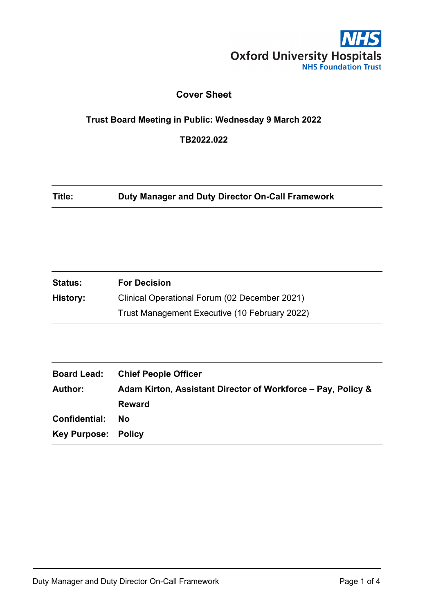

## **Cover Sheet**

## **Trust Board Meeting in Public: Wednesday 9 March 2022**

**TB2022.022**

**Title: Duty Manager and Duty Director On-Call Framework**

| <b>Status:</b> | <b>For Decision</b>                           |
|----------------|-----------------------------------------------|
| History:       | Clinical Operational Forum (02 December 2021) |
|                | Trust Management Executive (10 February 2022) |

| <b>Board Lead:</b>         | <b>Chief People Officer</b>                                  |
|----------------------------|--------------------------------------------------------------|
| <b>Author:</b>             | Adam Kirton, Assistant Director of Workforce – Pay, Policy & |
|                            | <b>Reward</b>                                                |
| Confidential:              | No                                                           |
| <b>Key Purpose: Policy</b> |                                                              |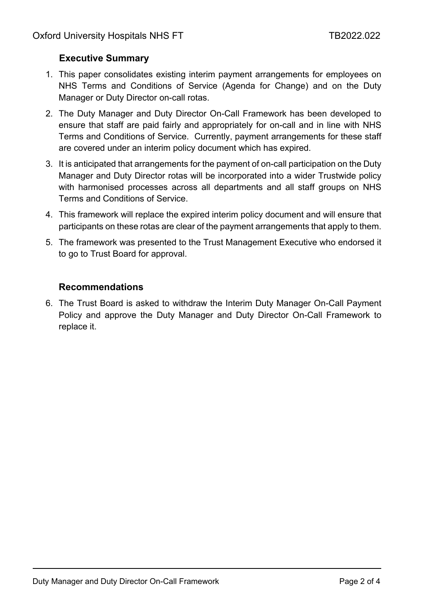## **Executive Summary**

- 1. This paper consolidates existing interim payment arrangements for employees on NHS Terms and Conditions of Service (Agenda for Change) and on the Duty Manager or Duty Director on-call rotas.
- 2. The Duty Manager and Duty Director On-Call Framework has been developed to ensure that staff are paid fairly and appropriately for on-call and in line with NHS Terms and Conditions of Service. Currently, payment arrangements for these staff are covered under an interim policy document which has expired.
- 3. It is anticipated that arrangements for the payment of on-call participation on the Duty Manager and Duty Director rotas will be incorporated into a wider Trustwide policy with harmonised processes across all departments and all staff groups on NHS Terms and Conditions of Service.
- 4. This framework will replace the expired interim policy document and will ensure that participants on these rotas are clear of the payment arrangements that apply to them.
- 5. The framework was presented to the Trust Management Executive who endorsed it to go to Trust Board for approval.

## **Recommendations**

6. The Trust Board is asked to withdraw the Interim Duty Manager On-Call Payment Policy and approve the Duty Manager and Duty Director On-Call Framework to replace it.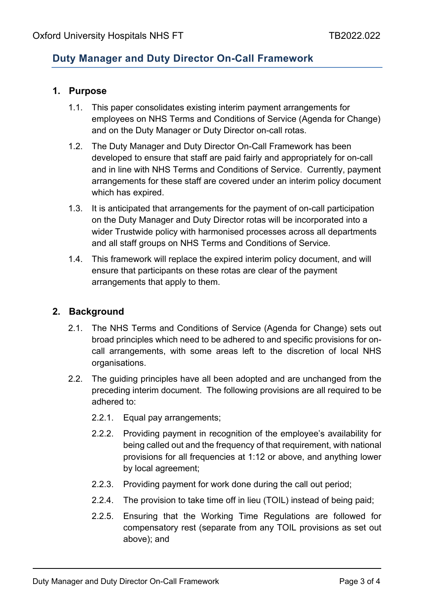## **Duty Manager and Duty Director On-Call Framework**

### **1. Purpose**

- 1.1. This paper consolidates existing interim payment arrangements for employees on NHS Terms and Conditions of Service (Agenda for Change) and on the Duty Manager or Duty Director on-call rotas.
- 1.2. The Duty Manager and Duty Director On-Call Framework has been developed to ensure that staff are paid fairly and appropriately for on-call and in line with NHS Terms and Conditions of Service. Currently, payment arrangements for these staff are covered under an interim policy document which has expired.
- 1.3. It is anticipated that arrangements for the payment of on-call participation on the Duty Manager and Duty Director rotas will be incorporated into a wider Trustwide policy with harmonised processes across all departments and all staff groups on NHS Terms and Conditions of Service.
- 1.4. This framework will replace the expired interim policy document, and will ensure that participants on these rotas are clear of the payment arrangements that apply to them.

### **2. Background**

- 2.1. The NHS Terms and Conditions of Service (Agenda for Change) sets out broad principles which need to be adhered to and specific provisions for oncall arrangements, with some areas left to the discretion of local NHS organisations.
- <span id="page-2-0"></span>2.2. The guiding principles have all been adopted and are unchanged from the preceding interim document. The following provisions are all required to be adhered to:
	- 2.2.1. Equal pay arrangements;
	- 2.2.2. Providing payment in recognition of the employee's availability for being called out and the frequency of that requirement, with national provisions for all frequencies at 1:12 or above, and anything lower by local agreement;
	- 2.2.3. Providing payment for work done during the call out period;
	- 2.2.4. The provision to take time off in lieu (TOIL) instead of being paid;
	- 2.2.5. Ensuring that the Working Time Regulations are followed for compensatory rest (separate from any TOIL provisions as set out above); and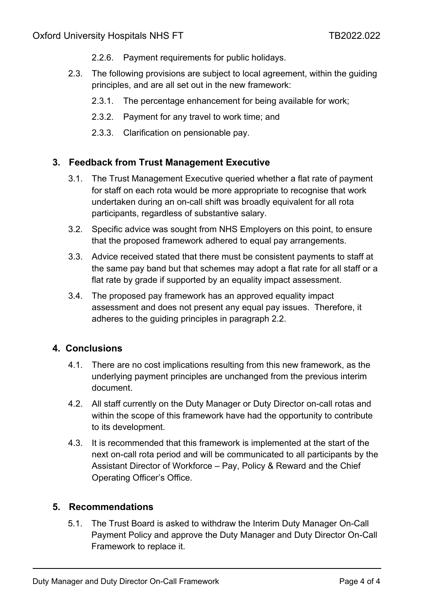- 2.2.6. Payment requirements for public holidays.
- 2.3. The following provisions are subject to local agreement, within the guiding principles, and are all set out in the new framework:
	- 2.3.1. The percentage enhancement for being available for work;
	- 2.3.2. Payment for any travel to work time; and
	- 2.3.3. Clarification on pensionable pay.

## **3. Feedback from Trust Management Executive**

- 3.1. The Trust Management Executive queried whether a flat rate of payment for staff on each rota would be more appropriate to recognise that work undertaken during an on-call shift was broadly equivalent for all rota participants, regardless of substantive salary.
- 3.2. Specific advice was sought from NHS Employers on this point, to ensure that the proposed framework adhered to equal pay arrangements.
- 3.3. Advice received stated that there must be consistent payments to staff at the same pay band but that schemes may adopt a flat rate for all staff or a flat rate by grade if supported by an equality impact assessment.
- 3.4. The proposed pay framework has an approved equality impact assessment and does not present any equal pay issues. Therefore, it adheres to the guiding principles in paragraph [2.2.](#page-2-0)

## **4. Conclusions**

- 4.1. There are no cost implications resulting from this new framework, as the underlying payment principles are unchanged from the previous interim document.
- 4.2. All staff currently on the Duty Manager or Duty Director on-call rotas and within the scope of this framework have had the opportunity to contribute to its development.
- 4.3. It is recommended that this framework is implemented at the start of the next on-call rota period and will be communicated to all participants by the Assistant Director of Workforce – Pay, Policy & Reward and the Chief Operating Officer's Office.

### **5. Recommendations**

5.1. The Trust Board is asked to withdraw the Interim Duty Manager On-Call Payment Policy and approve the Duty Manager and Duty Director On-Call Framework to replace it.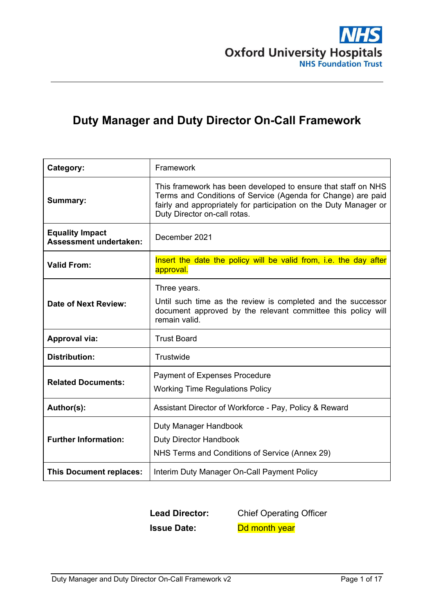

# **Duty Manager and Duty Director On-Call Framework**

| Category:                                               | Framework                                                                                                                                                                                                                          |
|---------------------------------------------------------|------------------------------------------------------------------------------------------------------------------------------------------------------------------------------------------------------------------------------------|
| Summary:                                                | This framework has been developed to ensure that staff on NHS<br>Terms and Conditions of Service (Agenda for Change) are paid<br>fairly and appropriately for participation on the Duty Manager or<br>Duty Director on-call rotas. |
| <b>Equality Impact</b><br><b>Assessment undertaken:</b> | December 2021                                                                                                                                                                                                                      |
| <b>Valid From:</b>                                      | Insert the date the policy will be valid from, i.e. the day after<br>approval.                                                                                                                                                     |
| Date of Next Review:                                    | Three years.<br>Until such time as the review is completed and the successor<br>document approved by the relevant committee this policy will<br>remain valid.                                                                      |
| <b>Approval via:</b>                                    | <b>Trust Board</b>                                                                                                                                                                                                                 |
| <b>Distribution:</b>                                    | Trustwide                                                                                                                                                                                                                          |
| <b>Related Documents:</b>                               | <b>Payment of Expenses Procedure</b><br><b>Working Time Regulations Policy</b>                                                                                                                                                     |
| Author(s):                                              | Assistant Director of Workforce - Pay, Policy & Reward                                                                                                                                                                             |
| <b>Further Information:</b>                             | Duty Manager Handbook<br><b>Duty Director Handbook</b><br>NHS Terms and Conditions of Service (Annex 29)                                                                                                                           |
| This Document replaces:                                 | Interim Duty Manager On-Call Payment Policy                                                                                                                                                                                        |

**Lead Director:** Chief Operating Officer **Issue Date:** Dd month year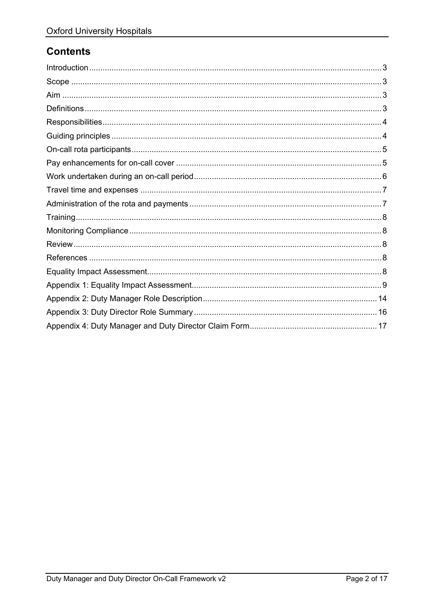## **Contents**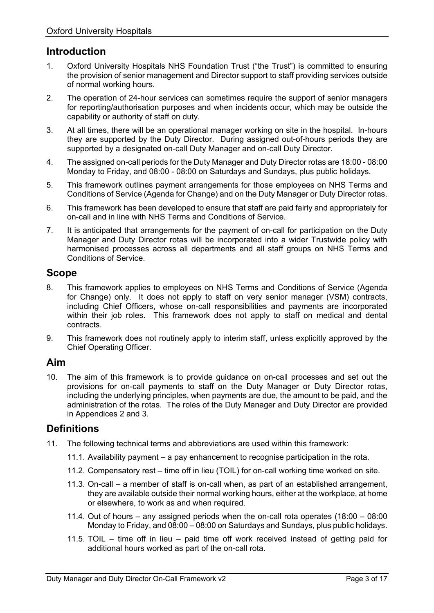## <span id="page-6-0"></span>**Introduction**

- 1. Oxford University Hospitals NHS Foundation Trust ("the Trust") is committed to ensuring the provision of senior management and Director support to staff providing services outside of normal working hours.
- 2. The operation of 24-hour services can sometimes require the support of senior managers for reporting/authorisation purposes and when incidents occur, which may be outside the capability or authority of staff on duty.
- 3. At all times, there will be an operational manager working on site in the hospital. In-hours they are supported by the Duty Director. During assigned out-of-hours periods they are supported by a designated on-call Duty Manager and on-call Duty Director.
- 4. The assigned on-call periods for the Duty Manager and Duty Director rotas are 18:00 08:00 Monday to Friday, and 08:00 - 08:00 on Saturdays and Sundays, plus public holidays.
- 5. This framework outlines payment arrangements for those employees on NHS Terms and Conditions of Service (Agenda for Change) and on the Duty Manager or Duty Director rotas.
- 6. This framework has been developed to ensure that staff are paid fairly and appropriately for on-call and in line with NHS Terms and Conditions of Service.
- 7. It is anticipated that arrangements for the payment of on-call for participation on the Duty Manager and Duty Director rotas will be incorporated into a wider Trustwide policy with harmonised processes across all departments and all staff groups on NHS Terms and Conditions of Service.

### <span id="page-6-1"></span>**Scope**

- 8. This framework applies to employees on NHS Terms and Conditions of Service (Agenda for Change) only. It does not apply to staff on very senior manager (VSM) contracts, including Chief Officers, whose on-call responsibilities and payments are incorporated within their job roles. This framework does not apply to staff on medical and dental contracts.
- 9. This framework does not routinely apply to interim staff, unless explicitly approved by the Chief Operating Officer.

## <span id="page-6-2"></span>**Aim**

10. The aim of this framework is to provide guidance on on-call processes and set out the provisions for on-call payments to staff on the Duty Manager or Duty Director rotas, including the underlying principles, when payments are due, the amount to be paid, and the administration of the rotas. The roles of the Duty Manager and Duty Director are provided in Appendices 2 and 3.

## <span id="page-6-3"></span>**Definitions**

- 11. The following technical terms and abbreviations are used within this framework:
	- 11.1. Availability payment a pay enhancement to recognise participation in the rota.
	- 11.2. Compensatory rest time off in lieu (TOIL) for on-call working time worked on site.
	- 11.3. On-call a member of staff is on-call when, as part of an established arrangement, they are available outside their normal working hours, either at the workplace, at home or elsewhere, to work as and when required.
	- 11.4. Out of hours any assigned periods when the on-call rota operates (18:00 08:00 Monday to Friday, and 08:00 – 08:00 on Saturdays and Sundays, plus public holidays.
	- 11.5. TOIL time off in lieu paid time off work received instead of getting paid for additional hours worked as part of the on-call rota.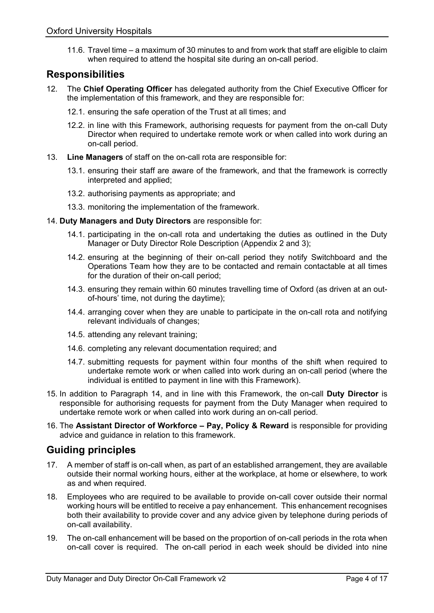11.6. Travel time – a maximum of 30 minutes to and from work that staff are eligible to claim when required to attend the hospital site during an on-call period.

### <span id="page-7-0"></span>**Responsibilities**

- 12. The **Chief Operating Officer** has delegated authority from the Chief Executive Officer for the implementation of this framework, and they are responsible for:
	- 12.1. ensuring the safe operation of the Trust at all times; and
	- 12.2. in line with this Framework, authorising requests for payment from the on-call Duty Director when required to undertake remote work or when called into work during an on-call period.
- 13. **Line Managers** of staff on the on-call rota are responsible for:
	- 13.1. ensuring their staff are aware of the framework, and that the framework is correctly interpreted and applied;
	- 13.2. authorising payments as appropriate; and
	- 13.3. monitoring the implementation of the framework.
- <span id="page-7-2"></span>14. **Duty Managers and Duty Directors** are responsible for:
	- 14.1. participating in the on-call rota and undertaking the duties as outlined in the Duty Manager or Duty Director Role Description (Appendix 2 and 3);
	- 14.2. ensuring at the beginning of their on-call period they notify Switchboard and the Operations Team how they are to be contacted and remain contactable at all times for the duration of their on-call period;
	- 14.3. ensuring they remain within 60 minutes travelling time of Oxford (as driven at an outof-hours' time, not during the daytime);
	- 14.4. arranging cover when they are unable to participate in the on-call rota and notifying relevant individuals of changes;
	- 14.5. attending any relevant training;
	- 14.6. completing any relevant documentation required; and
	- 14.7. submitting requests for payment within four months of the shift when required to undertake remote work or when called into work during an on-call period (where the individual is entitled to payment in line with this Framework).
- 15. In addition to Paragraph [14,](#page-7-2) and in line with this Framework, the on-call **Duty Director** is responsible for authorising requests for payment from the Duty Manager when required to undertake remote work or when called into work during an on-call period.
- 16. The **Assistant Director of Workforce – Pay, Policy & Reward** is responsible for providing advice and guidance in relation to this framework.

## <span id="page-7-1"></span>**Guiding principles**

- 17. A member of staff is on-call when, as part of an established arrangement, they are available outside their normal working hours, either at the workplace, at home or elsewhere, to work as and when required.
- <span id="page-7-3"></span>18. Employees who are required to be available to provide on-call cover outside their normal working hours will be entitled to receive a pay enhancement. This enhancement recognises both their availability to provide cover and any advice given by telephone during periods of on-call availability.
- 19. The on-call enhancement will be based on the proportion of on-call periods in the rota when on-call cover is required. The on-call period in each week should be divided into nine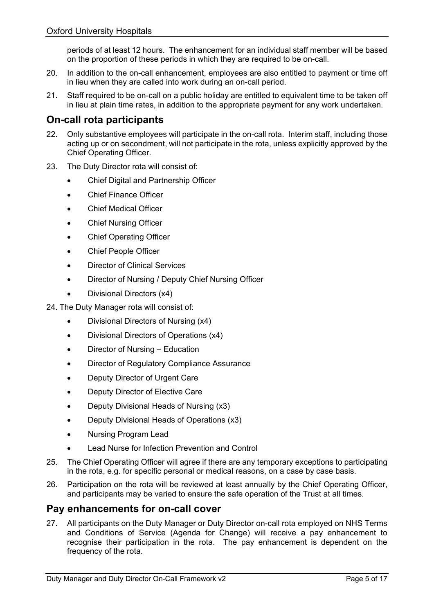periods of at least 12 hours. The enhancement for an individual staff member will be based on the proportion of these periods in which they are required to be on-call.

- 20. In addition to the on-call enhancement, employees are also entitled to payment or time off in lieu when they are called into work during an on-call period.
- 21. Staff required to be on-call on a public holiday are entitled to equivalent time to be taken off in lieu at plain time rates, in addition to the appropriate payment for any work undertaken.

## <span id="page-8-0"></span>**On-call rota participants**

- 22. Only substantive employees will participate in the on-call rota. Interim staff, including those acting up or on secondment, will not participate in the rota, unless explicitly approved by the Chief Operating Officer.
- 23. The Duty Director rota will consist of:
	- Chief Digital and Partnership Officer
	- Chief Finance Officer
	- **Chief Medical Officer**
	- Chief Nursing Officer
	- **Chief Operating Officer**
	- Chief People Officer
	- **Director of Clinical Services**
	- Director of Nursing / Deputy Chief Nursing Officer
	- Divisional Directors (x4)

24. The Duty Manager rota will consist of:

- Divisional Directors of Nursing (x4)
- Divisional Directors of Operations (x4)
- Director of Nursing Education
- Director of Regulatory Compliance Assurance
- Deputy Director of Urgent Care
- Deputy Director of Elective Care
- Deputy Divisional Heads of Nursing (x3)
- Deputy Divisional Heads of Operations (x3)
- Nursing Program Lead
- Lead Nurse for Infection Prevention and Control
- 25. The Chief Operating Officer will agree if there are any temporary exceptions to participating in the rota, e.g. for specific personal or medical reasons, on a case by case basis.
- 26. Participation on the rota will be reviewed at least annually by the Chief Operating Officer, and participants may be varied to ensure the safe operation of the Trust at all times.

### <span id="page-8-1"></span>**Pay enhancements for on-call cover**

27. All participants on the Duty Manager or Duty Director on-call rota employed on NHS Terms and Conditions of Service (Agenda for Change) will receive a pay enhancement to recognise their participation in the rota. The pay enhancement is dependent on the frequency of the rota.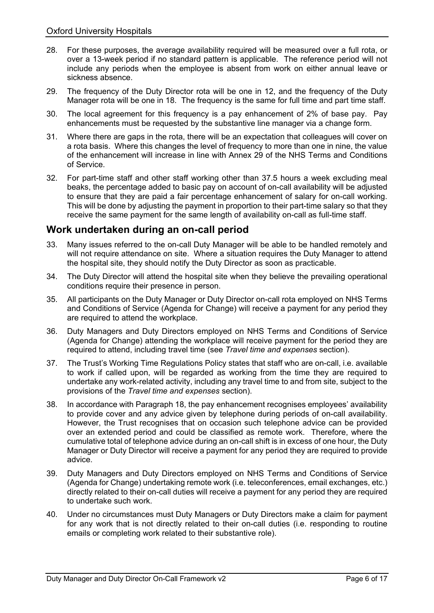- 28. For these purposes, the average availability required will be measured over a full rota, or over a 13-week period if no standard pattern is applicable. The reference period will not include any periods when the employee is absent from work on either annual leave or sickness absence.
- 29. The frequency of the Duty Director rota will be one in 12, and the frequency of the Duty Manager rota will be one in 18. The frequency is the same for full time and part time staff.
- 30. The local agreement for this frequency is a pay enhancement of 2% of base pay. Pay enhancements must be requested by the substantive line manager via a change form.
- <span id="page-9-1"></span>31. Where there are gaps in the rota, there will be an expectation that colleagues will cover on a rota basis. Where this changes the level of frequency to more than one in nine, the value of the enhancement will increase in line with Annex 29 of the NHS Terms and Conditions of Service.
- 32. For part-time staff and other staff working other than 37.5 hours a week excluding meal beaks, the percentage added to basic pay on account of on-call availability will be adjusted to ensure that they are paid a fair percentage enhancement of salary for on-call working. This will be done by adjusting the payment in proportion to their part-time salary so that they receive the same payment for the same length of availability on-call as full-time staff.

## <span id="page-9-0"></span>**Work undertaken during an on-call period**

- 33. Many issues referred to the on-call Duty Manager will be able to be handled remotely and will not require attendance on site. Where a situation requires the Duty Manager to attend the hospital site, they should notify the Duty Director as soon as practicable.
- 34. The Duty Director will attend the hospital site when they believe the prevailing operational conditions require their presence in person.
- 35. All participants on the Duty Manager or Duty Director on-call rota employed on NHS Terms and Conditions of Service (Agenda for Change) will receive a payment for any period they are required to attend the workplace.
- 36. Duty Managers and Duty Directors employed on NHS Terms and Conditions of Service (Agenda for Change) attending the workplace will receive payment for the period they are required to attend, including travel time (see *[Travel time and expenses](#page-10-0)* section).
- 37. The Trust's Working Time Regulations Policy states that staff who are on-call, i.e. available to work if called upon, will be regarded as working from the time they are required to undertake any work-related activity, including any travel time to and from site, subject to the provisions of the *[Travel time and expenses](#page-10-0)* section).
- 38. In accordance with Paragraph [18,](#page-7-3) the pay enhancement recognises employees' availability to provide cover and any advice given by telephone during periods of on-call availability. However, the Trust recognises that on occasion such telephone advice can be provided over an extended period and could be classified as remote work. Therefore, where the cumulative total of telephone advice during an on-call shift is in excess of one hour, the Duty Manager or Duty Director will receive a payment for any period they are required to provide advice.
- 39. Duty Managers and Duty Directors employed on NHS Terms and Conditions of Service (Agenda for Change) undertaking remote work (i.e. teleconferences, email exchanges, etc.) directly related to their on-call duties will receive a payment for any period they are required to undertake such work.
- 40. Under no circumstances must Duty Managers or Duty Directors make a claim for payment for any work that is not directly related to their on-call duties (i.e. responding to routine emails or completing work related to their substantive role).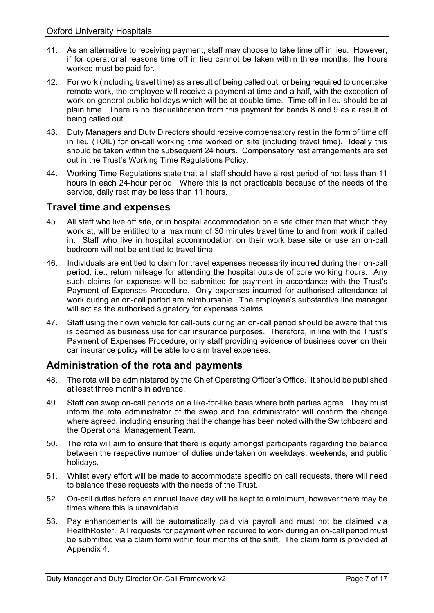- 41. As an alternative to receiving payment, staff may choose to take time off in lieu. However, if for operational reasons time off in lieu cannot be taken within three months, the hours worked must be paid for.
- 42. For work (including travel time) as a result of being called out, or being required to undertake remote work, the employee will receive a payment at time and a half, with the exception of work on general public holidays which will be at double time. Time off in lieu should be at plain time. There is no disqualification from this payment for bands 8 and 9 as a result of being called out.
- 43. Duty Managers and Duty Directors should receive compensatory rest in the form of time off in lieu (TOIL) for on-call working time worked on site (including travel time). Ideally this should be taken within the subsequent 24 hours. Compensatory rest arrangements are set out in the Trust's Working Time Regulations Policy.
- 44. Working Time Regulations state that all staff should have a rest period of not less than 11 hours in each 24-hour period. Where this is not practicable because of the needs of the service, daily rest may be less than 11 hours.

## <span id="page-10-0"></span>**Travel time and expenses**

- 45. All staff who live off site, or in hospital accommodation on a site other than that which they work at, will be entitled to a maximum of 30 minutes travel time to and from work if called in. Staff who live in hospital accommodation on their work base site or use an on-call bedroom will not be entitled to travel time.
- 46. Individuals are entitled to claim for travel expenses necessarily incurred during their on-call period, i.e., return mileage for attending the hospital outside of core working hours. Any such claims for expenses will be submitted for payment in accordance with the Trust's Payment of Expenses Procedure. Only expenses incurred for authorised attendance at work during an on-call period are reimbursable. The employee's substantive line manager will act as the authorised signatory for expenses claims.
- 47. Staff using their own vehicle for call-outs during an on-call period should be aware that this is deemed as business use for car insurance purposes. Therefore, in line with the Trust's Payment of Expenses Procedure, only staff providing evidence of business cover on their car insurance policy will be able to claim travel expenses.

## <span id="page-10-1"></span>**Administration of the rota and payments**

- 48. The rota will be administered by the Chief Operating Officer's Office. It should be published at least three months in advance.
- 49. Staff can swap on-call periods on a like-for-like basis where both parties agree. They must inform the rota administrator of the swap and the administrator will confirm the change where agreed, including ensuring that the change has been noted with the Switchboard and the Operational Management Team.
- 50. The rota will aim to ensure that there is equity amongst participants regarding the balance between the respective number of duties undertaken on weekdays, weekends, and public holidays.
- 51. Whilst every effort will be made to accommodate specific on call requests, there will need to balance these requests with the needs of the Trust.
- 52. On-call duties before an annual leave day will be kept to a minimum, however there may be times where this is unavoidable.
- 53. Pay enhancements will be automatically paid via payroll and must not be claimed via HealthRoster. All requests for payment when required to work during an on-call period must be submitted via a claim form within four months of the shift. The claim form is provided at Appendix 4.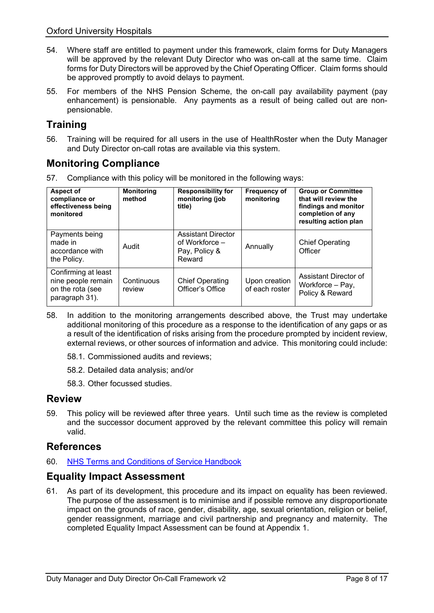- 54. Where staff are entitled to payment under this framework, claim forms for Duty Managers will be approved by the relevant Duty Director who was on-call at the same time. Claim forms for Duty Directors will be approved by the Chief Operating Officer. Claim forms should be approved promptly to avoid delays to payment.
- 55. For members of the NHS Pension Scheme, the on-call pay availability payment (pay enhancement) is pensionable. Any payments as a result of being called out are nonpensionable.

## <span id="page-11-0"></span>**Training**

56. Training will be required for all users in the use of HealthRoster when the Duty Manager and Duty Director on-call rotas are available via this system.

## <span id="page-11-1"></span>**Monitoring Compliance**

57. Compliance with this policy will be monitored in the following ways:

| Aspect of<br>compliance or<br>effectiveness being<br>monitored                  | <b>Monitoring</b><br>method | <b>Responsibility for</b><br>monitoring (job<br>title)                   | <b>Frequency of</b><br>monitoring | <b>Group or Committee</b><br>that will review the<br>findings and monitor<br>completion of any<br>resulting action plan |
|---------------------------------------------------------------------------------|-----------------------------|--------------------------------------------------------------------------|-----------------------------------|-------------------------------------------------------------------------------------------------------------------------|
| Payments being<br>made in<br>accordance with<br>the Policy.                     | Audit                       | <b>Assistant Director</b><br>of Workforce $-$<br>Pay, Policy &<br>Reward | Annually                          | <b>Chief Operating</b><br>Officer                                                                                       |
| Confirming at least<br>nine people remain<br>on the rota (see<br>paragraph 31). | Continuous<br>review        | <b>Chief Operating</b><br>Officer's Office                               | Upon creation<br>of each roster   | Assistant Director of<br>Workforce - Pay,<br>Policy & Reward                                                            |

- 58. In addition to the monitoring arrangements described above, the Trust may undertake additional monitoring of this procedure as a response to the identification of any gaps or as a result of the identification of risks arising from the procedure prompted by incident review, external reviews, or other sources of information and advice. This monitoring could include:
	- 58.1. Commissioned audits and reviews;
	- 58.2. Detailed data analysis; and/or
	- 58.3. Other focussed studies.

### <span id="page-11-2"></span>**Review**

59. This policy will be reviewed after three years. Until such time as the review is completed and the successor document approved by the relevant committee this policy will remain valid.

## <span id="page-11-3"></span>**References**

60. [NHS Terms and Conditions of Service Handbook](https://www.nhsemployers.org/tchandbook)

## <span id="page-11-4"></span>**Equality Impact Assessment**

61. As part of its development, this procedure and its impact on equality has been reviewed. The purpose of the assessment is to minimise and if possible remove any disproportionate impact on the grounds of race, gender, disability, age, sexual orientation, religion or belief, gender reassignment, marriage and civil partnership and pregnancy and maternity. The completed Equality Impact Assessment can be found at Appendix 1.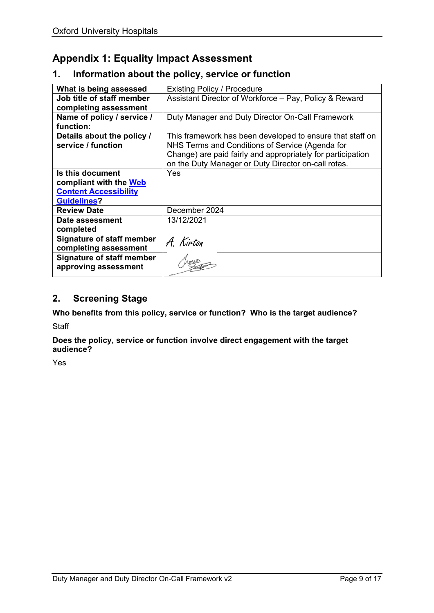## <span id="page-12-0"></span>**Appendix 1: Equality Impact Assessment**

#### **1. Information about the policy, service or function**

| What is being assessed                                                                           | <b>Existing Policy / Procedure</b>                                                                                                                                                                                                 |
|--------------------------------------------------------------------------------------------------|------------------------------------------------------------------------------------------------------------------------------------------------------------------------------------------------------------------------------------|
| Job title of staff member                                                                        | Assistant Director of Workforce - Pay, Policy & Reward                                                                                                                                                                             |
| completing assessment                                                                            |                                                                                                                                                                                                                                    |
| Name of policy / service /<br>function:                                                          | Duty Manager and Duty Director On-Call Framework                                                                                                                                                                                   |
| Details about the policy /<br>service / function                                                 | This framework has been developed to ensure that staff on<br>NHS Terms and Conditions of Service (Agenda for<br>Change) are paid fairly and appropriately for participation<br>on the Duty Manager or Duty Director on-call rotas. |
| Is this document<br>compliant with the Web<br><b>Content Accessibility</b><br><b>Guidelines?</b> | Yes                                                                                                                                                                                                                                |
| <b>Review Date</b>                                                                               | December 2024                                                                                                                                                                                                                      |
| Date assessment<br>completed                                                                     | 13/12/2021                                                                                                                                                                                                                         |
| <b>Signature of staff member</b><br>completing assessment                                        | A. Kirton                                                                                                                                                                                                                          |
| <b>Signature of staff member</b><br>approving assessment                                         |                                                                                                                                                                                                                                    |

## **2. Screening Stage**

**Who benefits from this policy, service or function? Who is the target audience?** 

**Staff** 

**Does the policy, service or function involve direct engagement with the target audience?**

Yes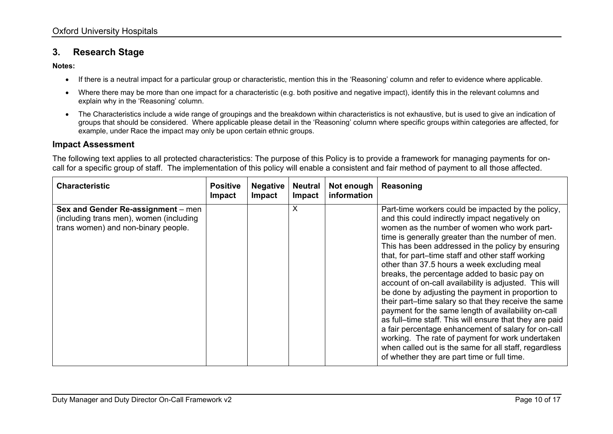### **3. Research Stage**

**Notes:** 

- If there is a neutral impact for a particular group or characteristic, mention this in the 'Reasoning' column and refer to evidence where applicable.
- Where there may be more than one impact for a characteristic (e.g. both positive and negative impact), identify this in the relevant columns and explain why in the 'Reasoning' column.
- The Characteristics include a wide range of groupings and the breakdown within characteristics is not exhaustive, but is used to give an indication of groups that should be considered. Where applicable please detail in the 'Reasoning' column where specific groups within categories are affected, for example, under Race the impact may only be upon certain ethnic groups.

#### **Impact Assessment**

The following text applies to all protected characteristics: The purpose of this Policy is to provide a framework for managing payments for oncall for a specific group of staff. The implementation of this policy will enable a consistent and fair method of payment to all those affected.

| <b>Characteristic</b>                                                                                                | <b>Positive</b><br>Impact | <b>Negative</b><br><b>Impact</b> | <b>Neutral</b><br><b>Impact</b> | Not enough<br>information | Reasoning                                                                                                                                                                                                                                                                                                                                                                                                                                                                                                                                                                                                                                                                                                                                                                                                                                                                                                                     |
|----------------------------------------------------------------------------------------------------------------------|---------------------------|----------------------------------|---------------------------------|---------------------------|-------------------------------------------------------------------------------------------------------------------------------------------------------------------------------------------------------------------------------------------------------------------------------------------------------------------------------------------------------------------------------------------------------------------------------------------------------------------------------------------------------------------------------------------------------------------------------------------------------------------------------------------------------------------------------------------------------------------------------------------------------------------------------------------------------------------------------------------------------------------------------------------------------------------------------|
| Sex and Gender Re-assignment - men<br>(including trans men), women (including<br>trans women) and non-binary people. |                           |                                  | X                               |                           | Part-time workers could be impacted by the policy,<br>and this could indirectly impact negatively on<br>women as the number of women who work part-<br>time is generally greater than the number of men.<br>This has been addressed in the policy by ensuring<br>that, for part-time staff and other staff working<br>other than 37.5 hours a week excluding meal<br>breaks, the percentage added to basic pay on<br>account of on-call availability is adjusted. This will<br>be done by adjusting the payment in proportion to<br>their part-time salary so that they receive the same<br>payment for the same length of availability on-call<br>as full-time staff. This will ensure that they are paid<br>a fair percentage enhancement of salary for on-call<br>working. The rate of payment for work undertaken<br>when called out is the same for all staff, regardless<br>of whether they are part time or full time. |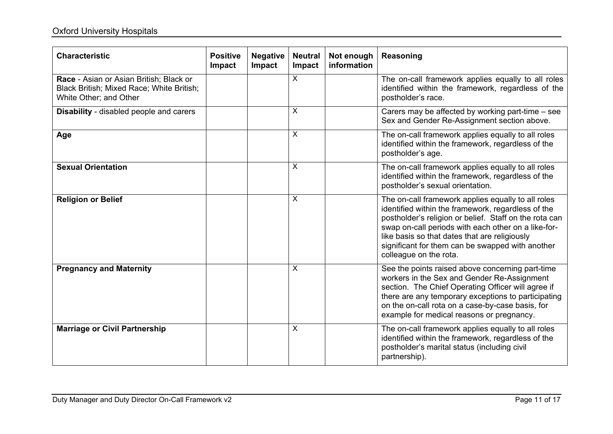## **Oxford University Hospitals**

| <b>Characteristic</b>                                                                                          | <b>Positive</b><br>Impact | <b>Negative</b><br>Impact | <b>Neutral</b><br>Impact | Not enough<br>information | Reasoning                                                                                                                                                                                                                                                                                                                                                |
|----------------------------------------------------------------------------------------------------------------|---------------------------|---------------------------|--------------------------|---------------------------|----------------------------------------------------------------------------------------------------------------------------------------------------------------------------------------------------------------------------------------------------------------------------------------------------------------------------------------------------------|
| Race - Asian or Asian British; Black or<br>Black British; Mixed Race; White British;<br>White Other; and Other |                           |                           | $\sf X$                  |                           | The on-call framework applies equally to all roles<br>identified within the framework, regardless of the<br>postholder's race.                                                                                                                                                                                                                           |
| <b>Disability</b> - disabled people and carers                                                                 |                           |                           | X                        |                           | Carers may be affected by working part-time – see<br>Sex and Gender Re-Assignment section above.                                                                                                                                                                                                                                                         |
| Age                                                                                                            |                           |                           | $\overline{X}$           |                           | The on-call framework applies equally to all roles<br>identified within the framework, regardless of the<br>postholder's age.                                                                                                                                                                                                                            |
| <b>Sexual Orientation</b>                                                                                      |                           |                           | X                        |                           | The on-call framework applies equally to all roles<br>identified within the framework, regardless of the<br>postholder's sexual orientation.                                                                                                                                                                                                             |
| <b>Religion or Belief</b>                                                                                      |                           |                           | $\overline{X}$           |                           | The on-call framework applies equally to all roles<br>identified within the framework, regardless of the<br>postholder's religion or belief. Staff on the rota can<br>swap on-call periods with each other on a like-for-<br>like basis so that dates that are religiously<br>significant for them can be swapped with another<br>colleague on the rota. |
| <b>Pregnancy and Maternity</b>                                                                                 |                           |                           | X                        |                           | See the points raised above concerning part-time<br>workers in the Sex and Gender Re-Assignment<br>section. The Chief Operating Officer will agree if<br>there are any temporary exceptions to participating<br>on the on-call rota on a case-by-case basis, for<br>example for medical reasons or pregnancy.                                            |
| <b>Marriage or Civil Partnership</b>                                                                           |                           |                           | X                        |                           | The on-call framework applies equally to all roles<br>identified within the framework, regardless of the<br>postholder's marital status (including civil<br>partnership).                                                                                                                                                                                |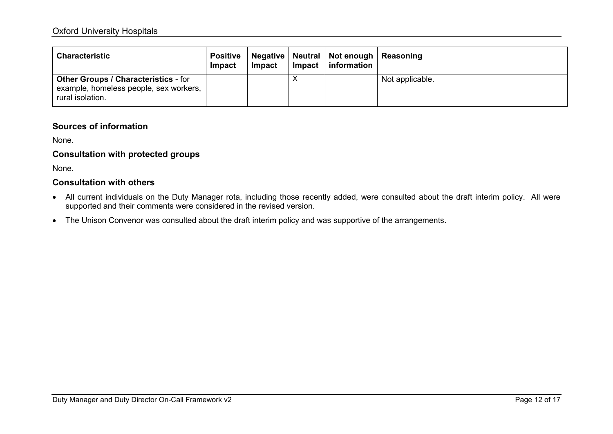#### Oxford University Hospitals

| <b>Characteristic</b>                                                                                     | Positive<br>Impact | Impact | <b>Impact</b> | Negative   Neutral   Not enough   Reasoning<br>information |                 |
|-----------------------------------------------------------------------------------------------------------|--------------------|--------|---------------|------------------------------------------------------------|-----------------|
| <b>Other Groups / Characteristics - for</b><br>example, homeless people, sex workers,<br>rural isolation. |                    |        |               |                                                            | Not applicable. |

#### **Sources of information**

None.

#### **Consultation with protected groups**

None.

#### **Consultation with others**

- All current individuals on the Duty Manager rota, including those recently added, were consulted about the draft interim policy. All were supported and their comments were considered in the revised version.
- The Unison Convenor was consulted about the draft interim policy and was supportive of the arrangements.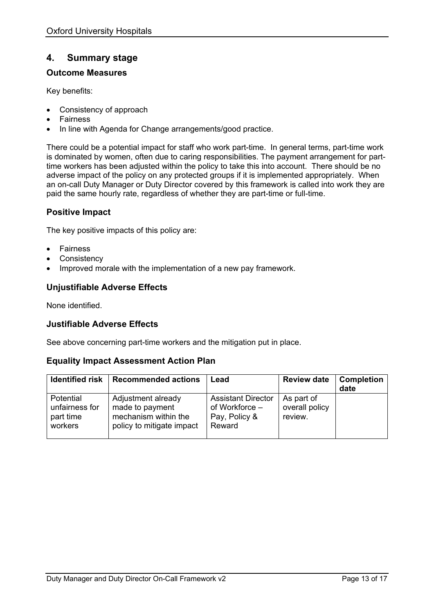### **4. Summary stage**

#### **Outcome Measures**

Key benefits:

- Consistency of approach
- **Fairness**
- In line with Agenda for Change arrangements/good practice.

There could be a potential impact for staff who work part-time. In general terms, part-time work is dominated by women, often due to caring responsibilities. The payment arrangement for parttime workers has been adjusted within the policy to take this into account. There should be no adverse impact of the policy on any protected groups if it is implemented appropriately. When an on-call Duty Manager or Duty Director covered by this framework is called into work they are paid the same hourly rate, regardless of whether they are part-time or full-time.

#### **Positive Impact**

The key positive impacts of this policy are:

- **Fairness**
- **Consistency**
- Improved morale with the implementation of a new pay framework.

#### **Unjustifiable Adverse Effects**

None identified.

#### **Justifiable Adverse Effects**

See above concerning part-time workers and the mitigation put in place.

#### **Equality Impact Assessment Action Plan**

| <b>Identified risk</b>                              | <b>Recommended actions</b>                                                                 | Lead                                                                   | <b>Review date</b>                      | <b>Completion</b><br>date |
|-----------------------------------------------------|--------------------------------------------------------------------------------------------|------------------------------------------------------------------------|-----------------------------------------|---------------------------|
| Potential<br>unfairness for<br>part time<br>workers | Adjustment already<br>made to payment<br>mechanism within the<br>policy to mitigate impact | <b>Assistant Director</b><br>of Workforce -<br>Pay, Policy &<br>Reward | As part of<br>overall policy<br>review. |                           |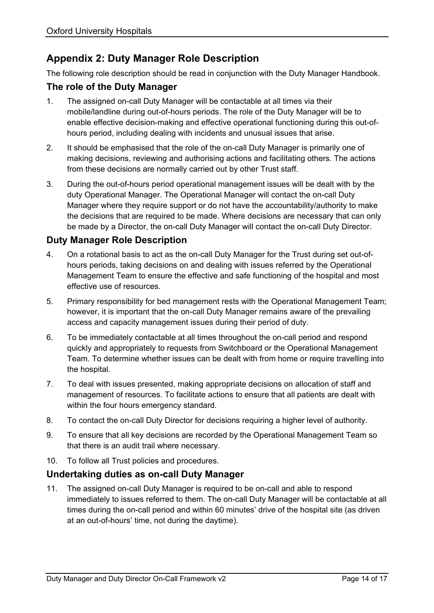## <span id="page-17-0"></span>**Appendix 2: Duty Manager Role Description**

The following role description should be read in conjunction with the Duty Manager Handbook.

### **The role of the Duty Manager**

- 1. The assigned on-call Duty Manager will be contactable at all times via their mobile/landline during out-of-hours periods. The role of the Duty Manager will be to enable effective decision-making and effective operational functioning during this out-ofhours period, including dealing with incidents and unusual issues that arise.
- 2. It should be emphasised that the role of the on-call Duty Manager is primarily one of making decisions, reviewing and authorising actions and facilitating others. The actions from these decisions are normally carried out by other Trust staff.
- 3. During the out-of-hours period operational management issues will be dealt with by the duty Operational Manager. The Operational Manager will contact the on-call Duty Manager where they require support or do not have the accountability/authority to make the decisions that are required to be made. Where decisions are necessary that can only be made by a Director, the on-call Duty Manager will contact the on-call Duty Director.

### **Duty Manager Role Description**

- 4. On a rotational basis to act as the on-call Duty Manager for the Trust during set out-ofhours periods, taking decisions on and dealing with issues referred by the Operational Management Team to ensure the effective and safe functioning of the hospital and most effective use of resources.
- 5. Primary responsibility for bed management rests with the Operational Management Team; however, it is important that the on-call Duty Manager remains aware of the prevailing access and capacity management issues during their period of duty.
- 6. To be immediately contactable at all times throughout the on-call period and respond quickly and appropriately to requests from Switchboard or the Operational Management Team. To determine whether issues can be dealt with from home or require travelling into the hospital.
- 7. To deal with issues presented, making appropriate decisions on allocation of staff and management of resources. To facilitate actions to ensure that all patients are dealt with within the four hours emergency standard.
- 8. To contact the on-call Duty Director for decisions requiring a higher level of authority.
- 9. To ensure that all key decisions are recorded by the Operational Management Team so that there is an audit trail where necessary.
- 10. To follow all Trust policies and procedures.

## **Undertaking duties as on-call Duty Manager**

11. The assigned on-call Duty Manager is required to be on-call and able to respond immediately to issues referred to them. The on-call Duty Manager will be contactable at all times during the on-call period and within 60 minutes' drive of the hospital site (as driven at an out-of-hours' time, not during the daytime).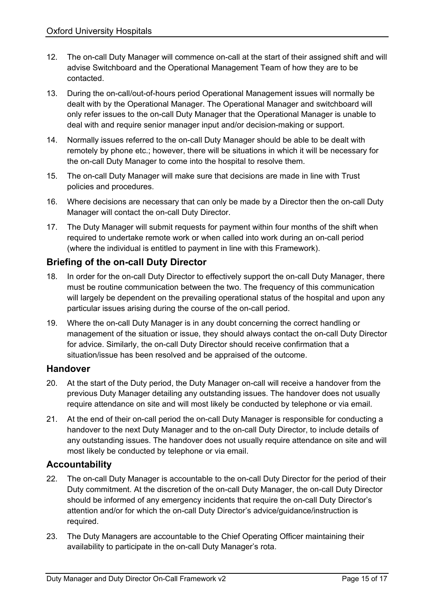- 12. The on-call Duty Manager will commence on-call at the start of their assigned shift and will advise Switchboard and the Operational Management Team of how they are to be contacted.
- 13. During the on-call/out-of-hours period Operational Management issues will normally be dealt with by the Operational Manager. The Operational Manager and switchboard will only refer issues to the on-call Duty Manager that the Operational Manager is unable to deal with and require senior manager input and/or decision-making or support.
- 14. Normally issues referred to the on-call Duty Manager should be able to be dealt with remotely by phone etc.; however, there will be situations in which it will be necessary for the on-call Duty Manager to come into the hospital to resolve them.
- 15. The on-call Duty Manager will make sure that decisions are made in line with Trust policies and procedures.
- 16. Where decisions are necessary that can only be made by a Director then the on-call Duty Manager will contact the on-call Duty Director.
- 17. The Duty Manager will submit requests for payment within four months of the shift when required to undertake remote work or when called into work during an on-call period (where the individual is entitled to payment in line with this Framework).

## **Briefing of the on-call Duty Director**

- 18. In order for the on-call Duty Director to effectively support the on-call Duty Manager, there must be routine communication between the two. The frequency of this communication will largely be dependent on the prevailing operational status of the hospital and upon any particular issues arising during the course of the on-call period.
- 19. Where the on-call Duty Manager is in any doubt concerning the correct handling or management of the situation or issue, they should always contact the on-call Duty Director for advice. Similarly, the on-call Duty Director should receive confirmation that a situation/issue has been resolved and be appraised of the outcome.

### **Handover**

- 20. At the start of the Duty period, the Duty Manager on-call will receive a handover from the previous Duty Manager detailing any outstanding issues. The handover does not usually require attendance on site and will most likely be conducted by telephone or via email.
- 21. At the end of their on-call period the on-call Duty Manager is responsible for conducting a handover to the next Duty Manager and to the on-call Duty Director, to include details of any outstanding issues. The handover does not usually require attendance on site and will most likely be conducted by telephone or via email.

### **Accountability**

- 22. The on-call Duty Manager is accountable to the on-call Duty Director for the period of their Duty commitment. At the discretion of the on-call Duty Manager, the on-call Duty Director should be informed of any emergency incidents that require the on-call Duty Director's attention and/or for which the on-call Duty Director's advice/guidance/instruction is required.
- 23. The Duty Managers are accountable to the Chief Operating Officer maintaining their availability to participate in the on-call Duty Manager's rota.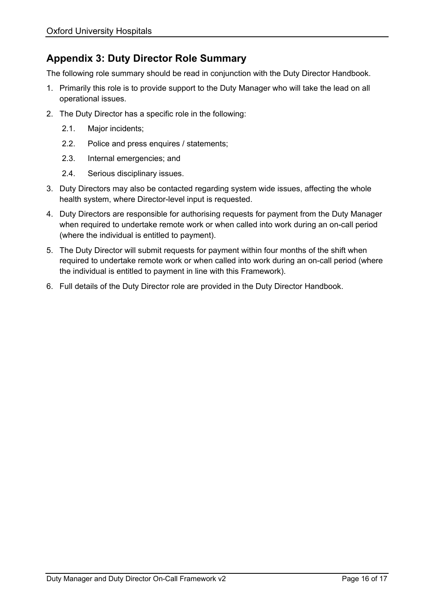## <span id="page-19-0"></span>**Appendix 3: Duty Director Role Summary**

The following role summary should be read in conjunction with the Duty Director Handbook.

- 1. Primarily this role is to provide support to the Duty Manager who will take the lead on all operational issues.
- 2. The Duty Director has a specific role in the following:
	- 2.1. Major incidents;
	- 2.2. Police and press enquires / statements;
	- 2.3. Internal emergencies; and
	- 2.4. Serious disciplinary issues.
- 3. Duty Directors may also be contacted regarding system wide issues, affecting the whole health system, where Director-level input is requested.
- 4. Duty Directors are responsible for authorising requests for payment from the Duty Manager when required to undertake remote work or when called into work during an on-call period (where the individual is entitled to payment).
- 5. The Duty Director will submit requests for payment within four months of the shift when required to undertake remote work or when called into work during an on-call period (where the individual is entitled to payment in line with this Framework).
- 6. Full details of the Duty Director role are provided in the Duty Director Handbook.